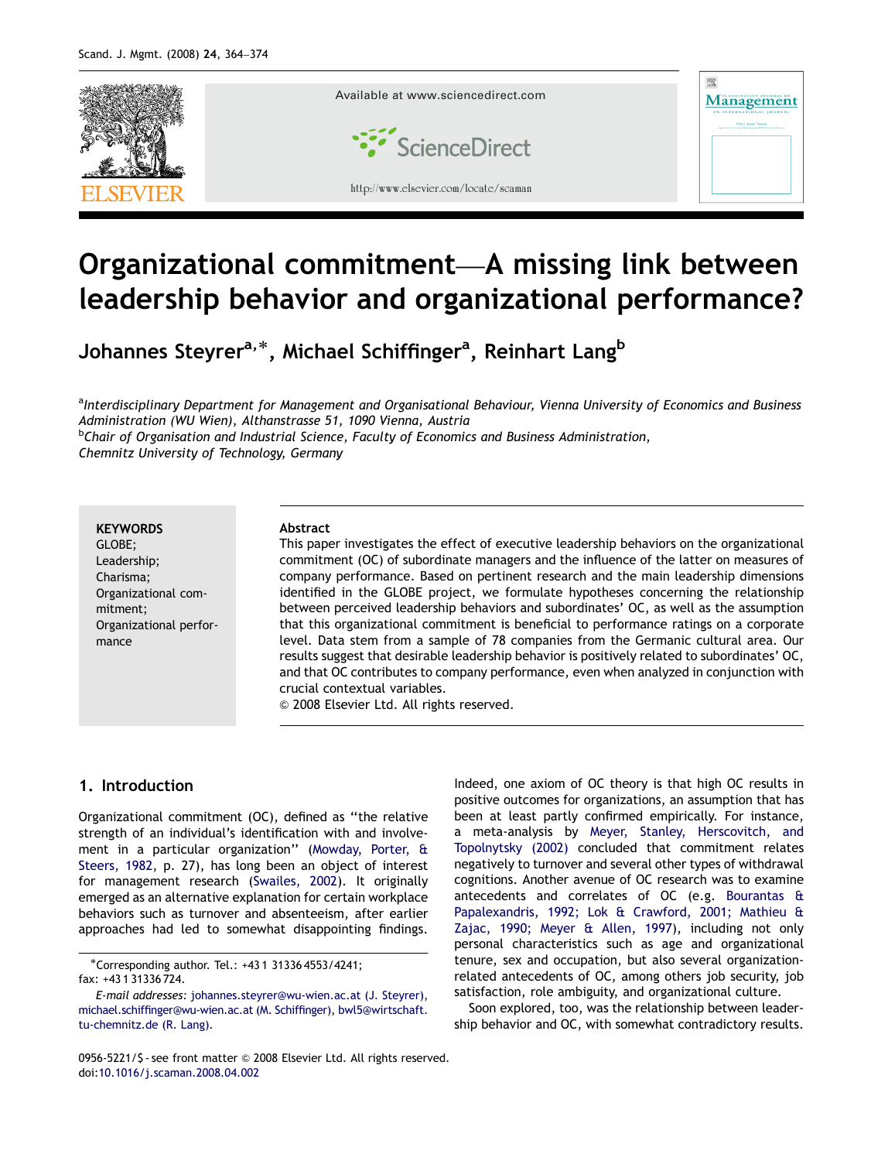

# Organizational commitment—A missing link between leadership behavior and organizational performance?

Johannes Steyrer<sup>a,\*</sup>, Michael Schiffinger<sup>a</sup>, Reinhart Lang<sup>b</sup>

<sup>a</sup>Interdisciplinary Department for Management and Organisational Behaviour, Vienna University of Economics and Business Administration (WU Wien), Althanstrasse 51, 1090 Vienna, Austria

<sup>b</sup>Chair of Organisation and Industrial Science, Faculty of Economics and Business Administration, Chemnitz University of Technology, Germany

#### **KEYWORDS**

GLOBE; Leadership; Charisma; Organizational commitment; Organizational performance

#### Abstract

This paper investigates the effect of executive leadership behaviors on the organizational commitment (OC) of subordinate managers and the influence of the latter on measures of company performance. Based on pertinent research and the main leadership dimensions identified in the GLOBE project, we formulate hypotheses concerning the relationship between perceived leadership behaviors and subordinates' OC, as well as the assumption that this organizational commitment is beneficial to performance ratings on a corporate level. Data stem from a sample of 78 companies from the Germanic cultural area. Our results suggest that desirable leadership behavior is positively related to subordinates' OC, and that OC contributes to company performance, even when analyzed in conjunction with crucial contextual variables.

& 2008 Elsevier Ltd. All rights reserved.

## 1. Introduction

Organizational commitment (OC), defined as ''the relative strength of an individual's identification with and involvement in a particular organization'' ([Mowday, Porter, &](#page--1-0) [Steers, 1982](#page--1-0), p. 27), has long been an object of interest for management research [\(Swailes, 2002\)](#page--1-0). It originally emerged as an alternative explanation for certain workplace behaviors such as turnover and absenteeism, after earlier approaches had led to somewhat disappointing findings.

-Corresponding author. Tel.: +43 1 31336 4553/4241;

fax: +43 1 31336 724.

Indeed, one axiom of OC theory is that high OC results in positive outcomes for organizations, an assumption that has been at least partly confirmed empirically. For instance, a meta-analysis by [Meyer, Stanley, Herscovitch, and](#page--1-0) [Topolnytsky \(2002\)](#page--1-0) concluded that commitment relates negatively to turnover and several other types of withdrawal cognitions. Another avenue of OC research was to examine antecedents and correlates of OC (e.g. [Bourantas &](#page--1-0) [Papalexandris, 1992; Lok](#page--1-0) & [Crawford, 2001; Mathieu &](#page--1-0) [Zajac, 1990; Meyer & Allen, 1997\)](#page--1-0), including not only personal characteristics such as age and organizational tenure, sex and occupation, but also several organizationrelated antecedents of OC, among others job security, job satisfaction, role ambiguity, and organizational culture.

Soon explored, too, was the relationship between leadership behavior and OC, with somewhat contradictory results.

E-mail addresses: [johannes.steyrer@wu-wien.ac.at \(J. Steyrer\),](mailto:johannes.steyrer@wu-wien.ac.at) [michael.schiffinger@wu-wien.ac.at \(M. Schiffinger\),](mailto:michael.schiffinger@wu-wien.ac.at) [bwl5@wirtschaft.](mailto:bwl5@wirtschaft.tu-chemnitz.de) [tu-chemnitz.de \(R. Lang\)](mailto:bwl5@wirtschaft.tu-chemnitz.de).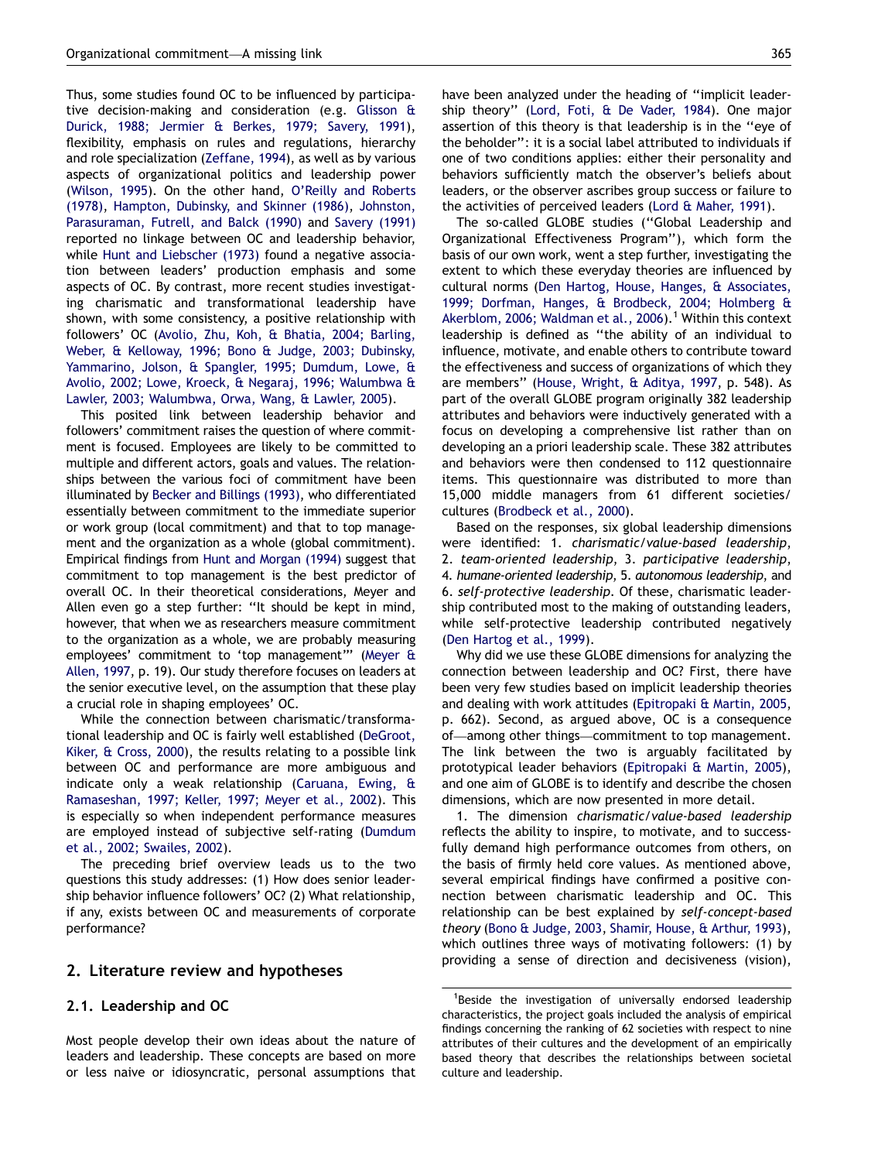Thus, some studies found OC to be influenced by participative decision-making and consideration (e.g. [Glisson](#page--1-0) & [Durick, 1988; Jermier](#page--1-0) & [Berkes, 1979; Savery, 1991\)](#page--1-0), flexibility, emphasis on rules and regulations, hierarchy and role specialization [\(Zeffane, 1994](#page--1-0)), as well as by various aspects of organizational politics and leadership power ([Wilson, 1995](#page--1-0)). On the other hand, [O'Reilly and Roberts](#page--1-0) [\(1978\),](#page--1-0) [Hampton, Dubinsky, and Skinner \(1986\),](#page--1-0) [Johnston,](#page--1-0) [Parasuraman, Futrell, and Balck \(1990\)](#page--1-0) and [Savery \(1991\)](#page--1-0) reported no linkage between OC and leadership behavior, while [Hunt and Liebscher \(1973\)](#page--1-0) found a negative association between leaders' production emphasis and some aspects of OC. By contrast, more recent studies investigating charismatic and transformational leadership have shown, with some consistency, a positive relationship with followers' OC [\(Avolio, Zhu, Koh, & Bhatia, 2004; Barling,](#page--1-0) [Weber, & Kelloway, 1996; Bono](#page--1-0) & [Judge, 2003; Dubinsky,](#page--1-0) [Yammarino, Jolson,](#page--1-0) & [Spangler, 1995; Dumdum, Lowe,](#page--1-0) & [Avolio, 2002; Lowe, Kroeck, & Negaraj, 1996; Walumbwa](#page--1-0) & [Lawler, 2003; Walumbwa, Orwa, Wang, & Lawler, 2005](#page--1-0)).

This posited link between leadership behavior and followers' commitment raises the question of where commitment is focused. Employees are likely to be committed to multiple and different actors, goals and values. The relationships between the various foci of commitment have been illuminated by [Becker and Billings \(1993\)](#page--1-0), who differentiated essentially between commitment to the immediate superior or work group (local commitment) and that to top management and the organization as a whole (global commitment). Empirical findings from [Hunt and Morgan \(1994\)](#page--1-0) suggest that commitment to top management is the best predictor of overall OC. In their theoretical considerations, Meyer and Allen even go a step further: ''It should be kept in mind, however, that when we as researchers measure commitment to the organization as a whole, we are probably measuring employees' commitment to 'top management''' ([Meyer](#page--1-0) & [Allen, 1997](#page--1-0), p. 19). Our study therefore focuses on leaders at the senior executive level, on the assumption that these play a crucial role in shaping employees' OC.

While the connection between charismatic/transformational leadership and OC is fairly well established [\(DeGroot,](#page--1-0) [Kiker, & Cross, 2000\)](#page--1-0), the results relating to a possible link between OC and performance are more ambiguous and indicate only a weak relationship ([Caruana, Ewing,](#page--1-0) & [Ramaseshan, 1997; Keller, 1997; Meyer et al., 2002\)](#page--1-0). This is especially so when independent performance measures are employed instead of subjective self-rating ([Dumdum](#page--1-0) [et al., 2002; Swailes, 2002\)](#page--1-0).

The preceding brief overview leads us to the two questions this study addresses: (1) How does senior leadership behavior influence followers' OC? (2) What relationship, if any, exists between OC and measurements of corporate performance?

### 2. Literature review and hypotheses

### 2.1. Leadership and OC

Most people develop their own ideas about the nature of leaders and leadership. These concepts are based on more or less naive or idiosyncratic, personal assumptions that have been analyzed under the heading of ''implicit leadership theory'' ([Lord, Foti, & De Vader, 1984](#page--1-0)). One major assertion of this theory is that leadership is in the ''eye of the beholder'': it is a social label attributed to individuals if one of two conditions applies: either their personality and behaviors sufficiently match the observer's beliefs about leaders, or the observer ascribes group success or failure to the activities of perceived leaders ([Lord](#page--1-0) [& Maher, 1991](#page--1-0)).

The so-called GLOBE studies (''Global Leadership and Organizational Effectiveness Program''), which form the basis of our own work, went a step further, investigating the extent to which these everyday theories are influenced by cultural norms [\(Den Hartog, House, Hanges, & Associates,](#page--1-0) [1999; Dorfman, Hanges,](#page--1-0) [& Brodbeck, 2004; Holmberg](#page--1-0) & [Akerblom, 2006; Waldman et al., 2006\)](#page--1-0).<sup>1</sup> Within this context leadership is defined as ''the ability of an individual to influence, motivate, and enable others to contribute toward the effectiveness and success of organizations of which they are members'' [\(House, Wright, & Aditya, 1997,](#page--1-0) p. 548). As part of the overall GLOBE program originally 382 leadership attributes and behaviors were inductively generated with a focus on developing a comprehensive list rather than on developing an a priori leadership scale. These 382 attributes and behaviors were then condensed to 112 questionnaire items. This questionnaire was distributed to more than 15,000 middle managers from 61 different societies/ cultures ([Brodbeck et al., 2000\)](#page--1-0).

Based on the responses, six global leadership dimensions were identified: 1. charismatic/value-based leadership, 2. team-oriented leadership, 3. participative leadership, 4. humane-oriented leadership, 5. autonomous leadership, and 6. self-protective leadership. Of these, charismatic leadership contributed most to the making of outstanding leaders, while self-protective leadership contributed negatively ([Den Hartog et al., 1999](#page--1-0)).

Why did we use these GLOBE dimensions for analyzing the connection between leadership and OC? First, there have been very few studies based on implicit leadership theories and dealing with work attitudes ([Epitropaki](#page--1-0) [& Martin, 2005](#page--1-0), p. 662). Second, as argued above, OC is a consequence of—among other things—commitment to top management. The link between the two is arguably facilitated by prototypical leader behaviors [\(Epitropaki & Martin, 2005\)](#page--1-0), and one aim of GLOBE is to identify and describe the chosen dimensions, which are now presented in more detail.

1. The dimension charismatic/value-based leadership reflects the ability to inspire, to motivate, and to successfully demand high performance outcomes from others, on the basis of firmly held core values. As mentioned above, several empirical findings have confirmed a positive connection between charismatic leadership and OC. This relationship can be best explained by self-concept-based theory [\(Bono & Judge, 2003,](#page--1-0) [Shamir, House,](#page--1-0) [& Arthur, 1993\)](#page--1-0), which outlines three ways of motivating followers: (1) by providing a sense of direction and decisiveness (vision),

<sup>&</sup>lt;sup>1</sup>Beside the investigation of universally endorsed leadership characteristics, the project goals included the analysis of empirical findings concerning the ranking of 62 societies with respect to nine attributes of their cultures and the development of an empirically based theory that describes the relationships between societal culture and leadership.